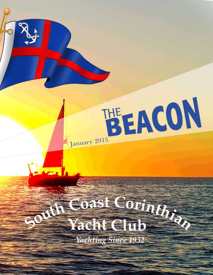

# out Coast Corinthia Yacht Club **Yachting Since 1932**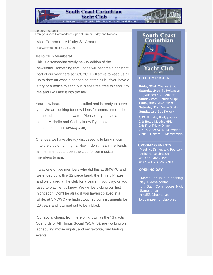#### **South Coast Corinthian Yacht Club**

.<br>The oldest and friendliest yacht club in Marina Del Rey. Estabished 1932

January 19, 2015 From your Vice Commodore: Special Dinner Friday and Notices

Vice Commodore Kathy St. Amant RearCommodore@SCCYC.org

#### **Hello Club Members!**

This is a somewhat overly newsy edition of the newsletter, something that I hope will become a constant part of our year here at SCCYC. I will strive to keep us all up to date on what is happening at the club. If you have a story or a notice to send out, please feel free to send it to me and I will add it into the mix.

Your new board has been installed and is ready to serve you. We are looking for new ideas for entertainment, both in the club and on the water. Please let your social chairs; Michelle and Christy know if you have some ideas. socialchair@sccyc.org

One idea we have already discussed is to bring music into the club on off nights. Now, I don't mean hire bands all the time, but to open the club for our musician members to jam.

I was one of two members who did this at SMWYC and we ended up with a 12 piece band, the Thirsty Pirates, and we played at the club for 7 years. If you play, or you used to play, let us know. We will be picking our first night soon. Don't be afraid if you haven't played in a while, at SMWYC we hadn't touched our instruments for 20 years and it turned out to be a blast.

 Our social chairs, from here on known as the "Galactic Overlords of All Things Social (GOATS), are working on scheduling movie nights, and my favorite, rum tasting events!



#### **OD DUTY ROSTER**

**Friday 23rd:** Charles Smith **Saturday 24th:** Ty Hokanson (switched K. St. Amant) **Sunday 25th**: Patrick Murphy **Friday 30th**: Mike Priest **Saturday 31st**: Willie Smith **Sunday 1st:** Bob Kellock

**1/23:** Birthday Party potluck **2/1:** Board Meeting 6PM **2/6:** First Friday Dinner **2/21 & 2/22:** SCYA Midwinters **2/20:** General Membership

#### **UPCOMING EVENTS**

 Meeting, Dinner, and February birthdays celebration **3/8:** OPENING DAY **3/28**: SCCYC Les Storrs

#### **OPENING DAY**

March 8th is our opening day. Please contact Jr. Staff Commodore Nick Sampson at nikal58@hotmail.com to volunteer for club prep.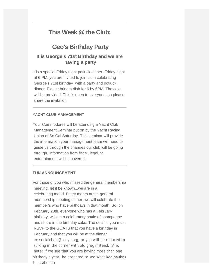# **This Week @ the Club:**

# **Geo's Birthday Party**

### **It is George's 71st Birthday and we are having a party**

It is a special Friday night potluck dinner. Friday night at 6 PM, you are invited to join us in celebrating George's 71st birthday with a party and potluck dinner. Please bring a dish for 6 by 6PM. The cake will be provided. This is open to everyone, so please share the invitation.

#### **YACHT CLUB MANAGEMENT**

Your Commodores will be attending a Yacht Club Management Seminar put on by the Yacht Racing Union of So Cal Saturday. This seminar will provide the information your management team will need to guide us through the changes our club will be going through. Information from fiscal, legal, to entertainment will be covered.

#### **FUN ANNOUNCEMENT**

For those of you who missed the general membership meeting, let it be known...we are in a celebrating mood. Every month at the general membership meeting dinner, we will celebrate the member's who have birthdays in that month. So, on February 20th, everyone who has a February birthday, will get a celebratory bottle of champagne and share in the birthday cake. The deal is: you must RSVP to the GOATS that you have a birthday in February and that you will be at the dinner to: socialchair@sccyc.org, or you will be reduced to sulking in the corner with old grog instead. (Also note: if we see that you are having more than one birthday a year, be prepared to see what keelhauling is all about!)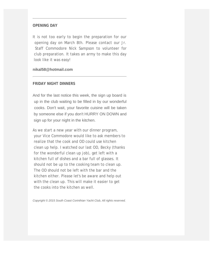#### **OPENING DAY**

It is not too early to begin the preparation for our opening day on March 8th. Please contact our Jr. Staff Commodore Nick Sampson to volunteer for club preparation. It takes an army to make this day look like it was easy!

#### **nikal58@hotmail.com**

#### **FRIDAY NIGHT DINNERS**

And for the last notice this week, the sign up board is up in the club waiting to be filled in by our wonderful cooks. Don't wait, your favorite cuisine will be taken by someone else if you don't HURRY ON DOWN and sign up for your night in the kitchen.

As we start a new year with our dinner program, your Vice Commodore would like to ask members to realize that the cook and OD could use kitchen clean up help. I watched our last OD, Becky (thanks for the wonderful clean up job), get left with a kitchen full of dishes and a bar full of glasses. It should not be up to the cooking team to clean up. The OD should not be left with the bar and the kitchen either. Please let's be aware and help out with the clean up. This will make it easier to get the cooks into the kitchen as well.

*Copyright © 2015 South Coast Corinthian Yacht Club, All rights reserved.*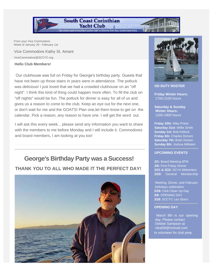From your Vice Commodore: Week of January 26 - February 1st

Vice Commodore Kathy St. Amant ViceCommodore@SCCYC.org

#### **Hello Club Members!**

Our clubhouse was full on Friday for George's birthday party. Guests that have not been up those stairs in years were in attendance. The potluck was delicious! I just loved that we had a crowded clubhouse on an "off night". I think this kind of thing could happen more often. To fill the club on "off nights" would be fun. The potluck for dinner is easy for all of us and gives us a reason to come to the club. Keep an eye out for the next one, or don't wait for me and the GOATS! Plan one,let them know to get on the calendar. Pick a reason, any reason to have one. I will get the word out.

**South Coast Corinthian** Yacht Club The oldest and friendliest yacht club in Marina Del Rey. Estabished 1932.

I will ask this every week... please send any information you want to share with the members to me before Monday and I will include it. Commodores and board members, I am looking at you too!

# **George's Birthday Party was a Success!**

## **THANK YOU TO ALL WHO MADE IT THE PERFECT DAY!**





#### **OD DUTY ROSTER**

**Friday Winter Hours:** 1700-2100 hours

**Saturday & Sunday Winter Hours:** 1200-1800 hours

**Friday 30th**: Mike Priest **Saturday 31st**: Willie Smith **Sunday 1st:** Bob Kellock **Friday 6th:** Charles Dimont **Saturday 7th:** Brain Keown **Sunday 8th:** Joshua Millstein

#### **UPCOMING EVENTS**

**2/1:** Board Meeting 6PM **2/6:** First Friday Dinner **2/21 & 2/22:** SCYA Midwinters **2/20:** General Membership

 Meeting, Dinner, and February birthdays celebration **2/28:** Club Clean Up Day **3/8:** OPENING DAY **3/28**: SCCYC Les Storrs

#### **OPENING DAY**

March 8th is our opening day. Please contact Debbie Sampson at nikal58@hotmail.com to volunteer for club prep.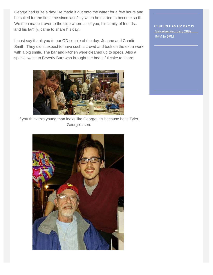George had quite a day! He made it out onto the water for a few hours and he sailed for the first time since last July when he started to become so ill. We then made it over to the club where all of you, his family of friends.. and his family, came to share his day.

I must say thank you to our OD couple of the day: Joanne and Charlie Smith. They didn't expect to have such a crowd and took on the extra work with a big smile. The bar and kitchen were cleaned up to specs. Also a special wave to Beverly Burr who brought the beautiful cake to share.



If you think this young man looks like George, it's because he is Tyler, George's son.



**CLUB CLEAN UP DAY IS** Saturday February 28th 9AM to 5PM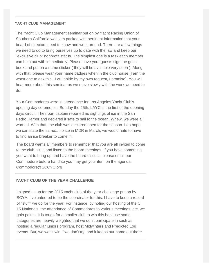#### **YACHT CLUB MANAGEMENT**

The Yacht Club Management seminar put on by Yacht Racing Union of Southern California was jam packed with pertinent information that your board of directors need to know and work around. There are a few things we need to do to bring ourselves up to date with the law and keep our "exclusive club" nonprofit status. The simplest one is a task each member can help out with immediately. Please have your guests sign the guest book and put on a name sticker ( they will be available very soon ). Along with that, please wear your name badges when in the club house (I am the worst one to ask this.. I will abide by my own request, I promise). You will hear more about this seminar as we move slowly with the work we need to do.

Your Commodores were in attendance for Los Angeles Yacht Club's opening day ceremonies Sunday the 25th. LAYC is the first of the opening days circuit. Their port captain reported no sightings of ice in the San Pedro Harbor and declared it safe to sail to the ocean. Whew, we were all worried. With that, the club was declared open for the season. I do hope we can state the same... no ice in MDR in March, we would hate to have to find an ice breaker to come in!

 The board wants all members to remember that you are all invited to come to the club, sit in and listen to the board meetings. If you have something you want to bring up and have the board discuss, please email our Commodore before hand so you may get your item on the agenda. Commodore@SCCYC.org

#### **YACHT CLUB OF THE YEAR CHALLENGE**

 I signed us up for the 2015 yacht club of the year challenge put on by SCYA. I volunteered to be the coordinator for this. I have to keep a record of "stuff" we do for the year. For instance, by noting our hosting of the C 15 Nationals, the attendance of Commodores to various meetings, etc. we gain points. It is tough for a smaller club to win this because some categories are heavily weighted that we don't participate in such as hosting a regular juniors program, host Midwinters and Predicted Log events. But, we won't win if we don't try, and it keeps our name out there.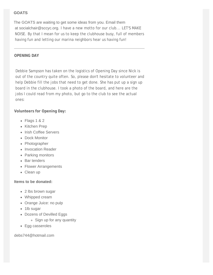#### **GOATS**

The GOATS are waiting to get some ideas from you. Email them at socialchair@sccyc.org. I have a new motto for our club... LET'S MAKE NOISE. By that I mean for us to keep the clubhouse busy, full of members having fun and letting our marina neighbors hear us having fun!

#### **OPENING DAY**

Debbie Sampson has taken on the logistics of Opening Day since Nick is out of the country quite often. So, please don't hesitate to volunteer and help Debbie fill the jobs that need to get done. She has put up a sign up board in the clubhouse. I took a photo of the board, and here are the jobs I could read from my photo, but go to the club to see the actual ones:

**Volunteers for Opening Day:**

- Flags 1 & 2
- Kitchen Prep
- Irish Coffee Servers
- Dock Monitor
- Photographer
- Invocation Reader
- Parking monitors
- Bar tenders
- Flower Arrangements
- Clean up

#### **Items to be donated:**

- 2 lbs brown sugar
- Whipped cream
- Orange Juice: no pulp
- 1lb sugar
- Dozens of Devilled Eggs
	- Sign up for any quantity
- Egg casseroles

debs744@hotmail.com